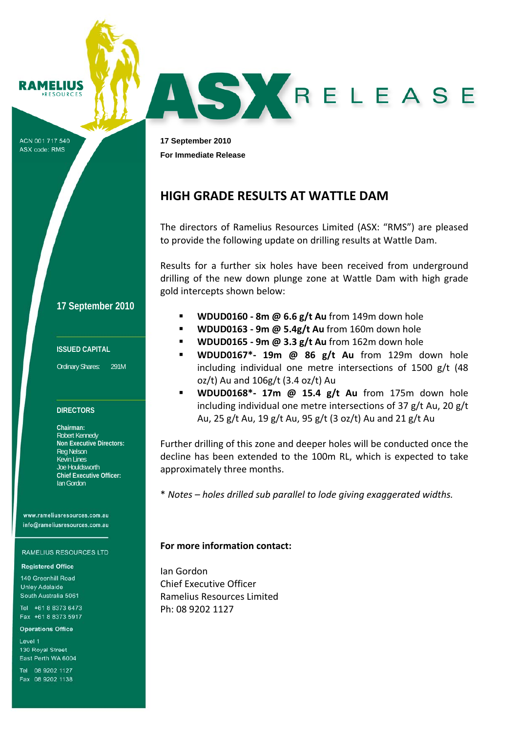RAMELIUS **RESOURCES** 

ACN 001 717 540 ASX code: RMS

**17 September 2010 For Immediate Release** 

# **HIGH GRADE RESULTS AT WATTLE DAM**

The directors of Ramelius Resources Limited (ASX: "RMS") are pleased to provide the following update on drilling results at Wattle Dam.

AS YRELEASE

Results for a further six holes have been received from underground drilling of the new down plunge zone at Wattle Dam with high grade gold intercepts shown below:

**17 September 2010**

## **ISSUED CAPITAL**

Ordinary Shares: 291M

### **DIRECTORS**

**Chairman:**  Robert Kennedy **Non Executive Directors:**  Reg Nelson Kevin Lines Joe Houldsworth **Chief Executive Officer:**  Ian Gordon

www.rameliusresources.com.au info@rameliusresources.com.au

#### **RAMELIUS RESOURCES LTD**

#### **Registered Office**

140 Greenhill Road **Unlev Adelaide** South Australia 5061

Tel +61 8 8373 6473 Fax +61 8 8373 5917

**Operations Office** 

Level 1 130 Royal Street East Perth WA 6004

Tel 08 9202 1127 Fax 08 9202 1138

- **WDUD0160 ‐ 8m @ 6.6 g/t Au** from 149m down hole
- **WDUD0163 ‐ 9m @ 5.4g/t Au** from 160m down hole
- **WDUD0165 ‐ 9m @ 3.3 g/t Au** from 162m down hole
- **WDUD0167\*‐ 19m @ 86 g/t Au** from 129m down hole including individual one metre intersections of 1500 g/t (48 oz/t) Au and 106g/t (3.4 oz/t) Au
- **WDUD0168\*‐ 17m @ 15.4 g/t Au** from 175m down hole including individual one metre intersections of 37 g/t Au, 20 g/t Au, 25 g/t Au, 19 g/t Au, 95 g/t (3 oz/t) Au and 21 g/t Au

Further drilling of this zone and deeper holes will be conducted once the decline has been extended to the 100m RL, which is expected to take approximately three months.

\* *Notes – holes drilled sub parallel to lode giving exaggerated widths.*

# **For more information contact:**

Ian Gordon Chief Executive Officer Ramelius Resources Limited Ph: 08 9202 1127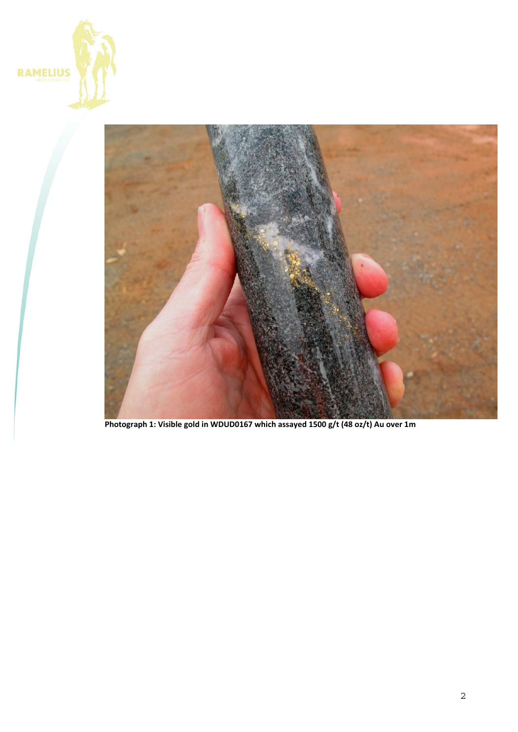



**Photograph 1: Visible gold in WDUD0167 which assayed 1500 g/t (48 oz/t) Au over 1m**